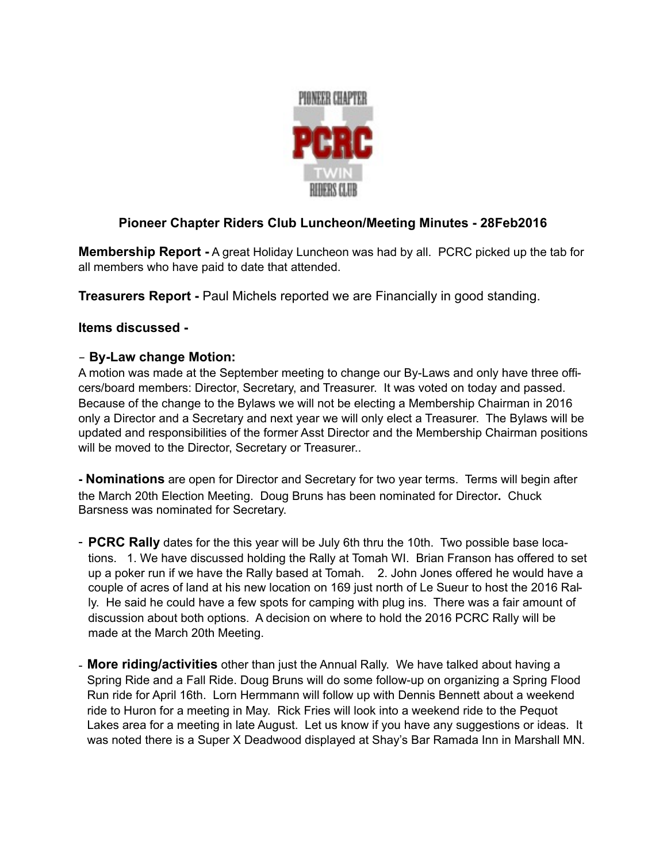

## **Pioneer Chapter Riders Club Luncheon/Meeting Minutes - 28Feb2016**

**Membership Report -** A great Holiday Luncheon was had by all. PCRC picked up the tab for all members who have paid to date that attended.

**Treasurers Report -** Paul Michels reported we are Financially in good standing.

## **Items discussed -**

## - **By-Law change Motion:**

A motion was made at the September meeting to change our By-Laws and only have three officers/board members: Director, Secretary, and Treasurer. It was voted on today and passed. Because of the change to the Bylaws we will not be electing a Membership Chairman in 2016 only a Director and a Secretary and next year we will only elect a Treasurer. The Bylaws will be updated and responsibilities of the former Asst Director and the Membership Chairman positions will be moved to the Director, Secretary or Treasurer..

**- Nominations** are open for Director and Secretary for two year terms. Terms will begin after the March 20th Election Meeting. Doug Bruns has been nominated for Director**.** Chuck Barsness was nominated for Secretary.

- **PCRC Rally** dates for the this year will be July 6th thru the 10th. Two possible base locations. 1. We have discussed holding the Rally at Tomah WI. Brian Franson has offered to set up a poker run if we have the Rally based at Tomah. 2. John Jones offered he would have a couple of acres of land at his new location on 169 just north of Le Sueur to host the 2016 Rally. He said he could have a few spots for camping with plug ins. There was a fair amount of discussion about both options. A decision on where to hold the 2016 PCRC Rally will be made at the March 20th Meeting.
- **More riding/activities** other than just the Annual Rally. We have talked about having a Spring Ride and a Fall Ride. Doug Bruns will do some follow-up on organizing a Spring Flood Run ride for April 16th. Lorn Hermmann will follow up with Dennis Bennett about a weekend ride to Huron for a meeting in May. Rick Fries will look into a weekend ride to the Pequot Lakes area for a meeting in late August. Let us know if you have any suggestions or ideas. It was noted there is a Super X Deadwood displayed at Shay's Bar Ramada Inn in Marshall MN.